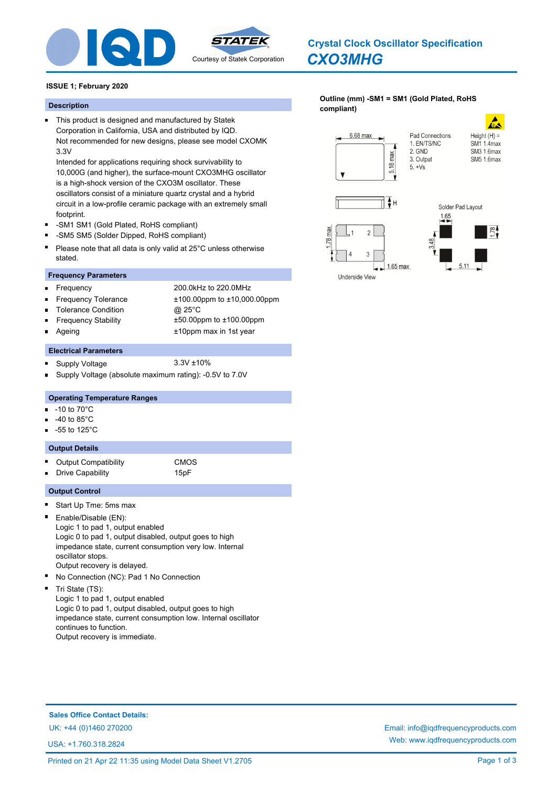

# *CXO3MHG* **Crystal Clock Oscillator Specification**

**[Outline \(mm\) -SM1 = SM1 \(Gold Plated, RoHS](http://www.iqdfrequencyproducts.com/products/search/?type=crystal-clock-oscillator&model=CXO3MHG)** 

### **ISSUE 1; February 2020**

# **compliant) Description**

This product is designed and manufactured by Statek Corporation in California, USA and distributed by IQD. Not recommended for new designs, please see model CXOMK 3.3V

Intended for applications requiring shock survivability to 10,000G (and higher), the surface-mount CXO3MHG oscillator is a high-shock version of the CXO3M oscillator. These oscillators consist of a miniature quartz crystal and a hybrid circuit in a low-profile ceramic package with an extremely small footprint.

- -SM1 SM1 (Gold Plated, RoHS compliant)  $\blacksquare$
- $\blacksquare$ -SM5 SM5 (Solder Dipped, RoHS compliant)
- $\blacksquare$ Please note that all data is only valid at 25°C unless otherwise stated.

### **Frequency Parameters**

Frequency 200.0kHz to 220.0MHz  $\blacksquare$ п Frequency Tolerance ±100.00ppm to ±10,000.00ppm Tolerance Condition @ 25°C Frequency Stability ±50.00ppm to ±100.00ppm Ageing the 10ppm max in 1st year

### **Electrical Parameters**

- $\blacksquare$ Supply Voltage 3.3V ±10%
- Supply Voltage (absolute maximum rating): -0.5V to 7.0V

### **Operating Temperature Ranges**

- -10 to 70°C m.
- -40 to 85°C
- -55 to 125°C

### **Output Details**

- Output Compatibility **CMOS**  $\blacksquare$ 
	- Drive Capability 15pF

### **Output Control**

 $\blacksquare$ 

- Start Up Tme: 5ms max
- Enable/Disable (EN): Logic 1 to pad 1, output enabled Logic 0 to pad 1, output disabled, output goes to high impedance state, current consumption very low. Internal oscillator stops. Output recovery is delayed.
- No Connection (NC): Pad 1 No Connection Ė

Tri State (TS): Logic 1 to pad 1, output enabled Logic 0 to pad 1, output disabled, output goes to high impedance state, current consumption low. Internal oscillator continues to function. Output recovery is immediate.

# **Sales Office Contact Details:**

USA: +1.760.318.2824

UK: +44 (0)1460 270200 Email: info@iqdfrequencyproducts.com Web: www.iqdfrequencyproducts.com



 $1.65$  max

Underside View

 $5.11$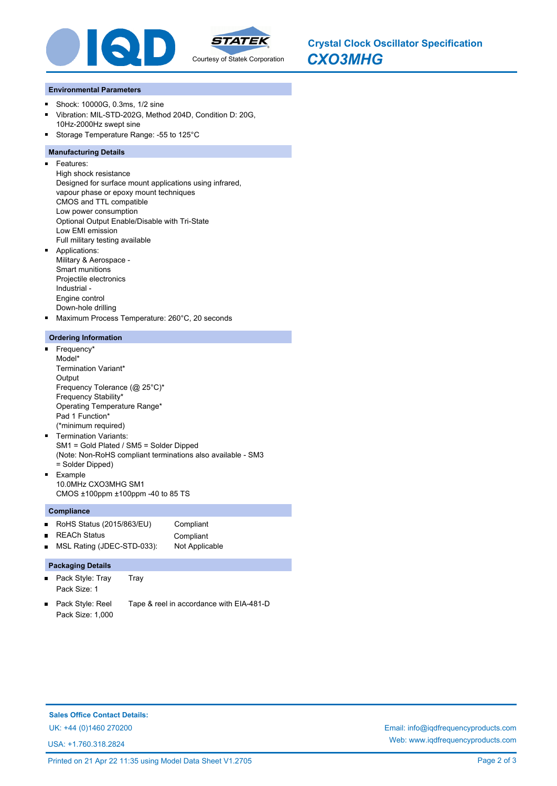

*CXO3MHG* **Crystal Clock Oscillator Specification**

#### **Environmental Parameters**

- Shock: 10000G, 0.3ms, 1/2 sine  $\blacksquare$
- Vibration: MIL-STD-202G, Method 204D, Condition D: 20G,  $\blacksquare$ 10Hz-2000Hz swept sine
- Storage Temperature Range: -55 to 125°C

### **Manufacturing Details**

- $\blacksquare$ Features:
	- High shock resistance Designed for surface mount applications using infrared, vapour phase or epoxy mount techniques CMOS and TTL compatible Low power consumption Optional Output Enable/Disable with Tri-State Low EMI emission Full military testing available Applications:
- Military & Aerospace Smart munitions Projectile electronics Industrial - Engine control Down-hole drilling
- Maximum Process Temperature: 260°C, 20 seconds

### **Ordering Information**

- o. Frequency\* Model\* Termination Variant\* **Output** Frequency Tolerance (@ 25°C)\* Frequency Stability\* Operating Temperature Range\* Pad 1 Function\* (\*minimum required) Termination Variants:
- SM1 = Gold Plated / SM5 = Solder Dipped (Note: Non-RoHS compliant terminations also available - SM3 = Solder Dipped)  $\blacksquare$ Example
- 10.0MHz CXO3MHG SM1 CMOS ±100ppm ±100ppm -40 to 85 TS

### **Compliance**

- RoHS Status (2015/863/EU) Compliant  $\blacksquare$
- REACh Status **Compliant**  $\blacksquare$
- $\blacksquare$ MSL Rating (JDEC-STD-033): Not Applicable

### **Packaging Details**

- $\blacksquare$ Pack Style: Tray Tray Pack Size: 1
- Pack Style: Reel Tape & reel in accordance with EIA-481-D Pack Size: 1,000

**Sales Office Contact Details:**

USA: +1.760.318.2824

UK: +44 (0)1460 270200 Email: info@iqdfrequencyproducts.com Web: www.iqdfrequencyproducts.com